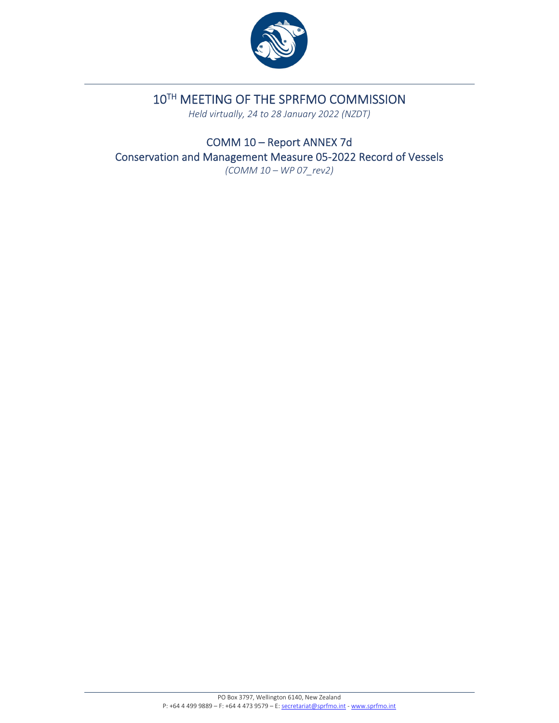

## 10TH MEETING OF THE SPRFMO COMMISSION

*Held virtually, 24 to 28 January 2022 (NZDT)*

COMM 10 – Report ANNEX 7d Conservation and Management Measure 05‐2022 Record of Vessels *(COMM 10 – WP 07\_rev2)*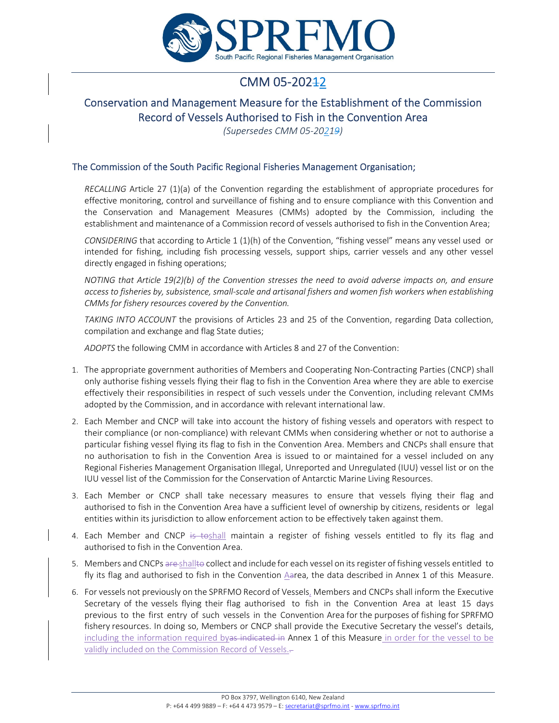

# CMM 05-202<del>1</del>2

## Conservation and Management Measure for the Establishment of the Commission Record of Vessels Authorised to Fish in the Convention Area

*(Supersedes CMM 05‐20219)*

#### The Commission of the South Pacific Regional Fisheries Management Organisation;

*RECALLING* Article 27 (1)(a) of the Convention regarding the establishment of appropriate procedures for effective monitoring, control and surveillance of fishing and to ensure compliance with this Convention and the Conservation and Management Measures (CMMs) adopted by the Commission, including the establishment and maintenance of a Commission record of vessels authorised to fish in the Convention Area;

*CONSIDERING* that according to Article 1 (1)(h) of the Convention, "fishing vessel" means any vessel used or intended for fishing, including fish processing vessels, support ships, carrier vessels and any other vessel directly engaged in fishing operations;

*NOTING that Article 19(2)(b) of the Convention stresses the need to avoid adverse impacts on, and ensure* access to fisheries by, subsistence, small-scale and artisanal fishers and women fish workers when establishing *CMMs for fishery resources covered by the Convention.*

*TAKING INTO ACCOUNT* the provisions of Articles 23 and 25 of the Convention, regarding Data collection, compilation and exchange and flag State duties;

*ADOPTS* the following CMM in accordance with Articles 8 and 27 of the Convention:

- 1. The appropriate government authorities of Members and Cooperating Non‐Contracting Parties (CNCP) shall only authorise fishing vessels flying their flag to fish in the Convention Area where they are able to exercise effectively their responsibilities in respect of such vessels under the Convention, including relevant CMMs adopted by the Commission, and in accordance with relevant international law.
- 2. Each Member and CNCP will take into account the history of fishing vessels and operators with respect to their compliance (or non‐compliance) with relevant CMMs when considering whether or not to authorise a particular fishing vessel flying its flag to fish in the Convention Area. Members and CNCPs shall ensure that no authorisation to fish in the Convention Area is issued to or maintained for a vessel included on any Regional Fisheries Management Organisation Illegal, Unreported and Unregulated (IUU) vessel list or on the IUU vessel list of the Commission for the Conservation of Antarctic Marine Living Resources.
- 3. Each Member or CNCP shall take necessary measures to ensure that vessels flying their flag and authorised to fish in the Convention Area have a sufficient level of ownership by citizens, residents or legal entities within its jurisdiction to allow enforcement action to be effectively taken against them.
- 4. Each Member and CNCP is toshall maintain a register of fishing vessels entitled to fly its flag and authorised to fish in the Convention Area.
- 5. Members and CNCPs are shallto collect and include for each vessel on its register of fishing vessels entitled to fly its flag and authorised to fish in the Convention Aarea, the data described in Annex 1 of this Measure.
- 6. For vessels not previously on the SPRFMO Record of Vessels, Members and CNCPs shall inform the Executive Secretary of the vessels flying their flag authorised to fish in the Convention Area at least 15 days previous to the first entry of such vessels in the Convention Area for the purposes of fishing for SPRFMO fishery resources. In doing so, Members or CNCP shall provide the Executive Secretary the vessel's details, including the information required byas indicated in Annex 1 of this Measure in order for the vessel to be validly included on the Commission Record of Vessels..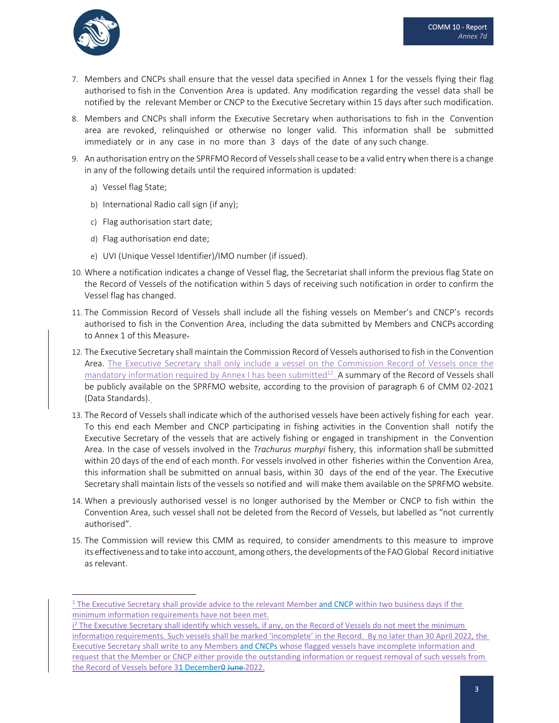

- 7. Members and CNCPs shall ensure that the vessel data specified in Annex 1 for the vessels flying their flag authorised to fish in the Convention Area is updated. Any modification regarding the vessel data shall be notified by the relevant Member or CNCP to the Executive Secretary within 15 days after such modification.
- 8. Members and CNCPs shall inform the Executive Secretary when authorisations to fish in the Convention area are revoked, relinquished or otherwise no longer valid. This information shall be submitted immediately or in any case in no more than 3 days of the date of any such change.
- 9. An authorisation entry on the SPRFMO Record of Vesselsshall cease to be a valid entry when there is a change in any of the following details until the required information is updated:
	- a) Vessel flag State;
	- b) International Radio call sign (if any);
	- c) Flag authorisation start date;
	- d) Flag authorisation end date;
	- e) UVI (Unique Vessel Identifier)/IMO number (if issued).
- 10. Where a notification indicates a change of Vessel flag, the Secretariat shall inform the previous flag State on the Record of Vessels of the notification within 5 days of receiving such notification in order to confirm the Vessel flag has changed.
- 11. The Commission Record of Vessels shall include all the fishing vessels on Member's and CNCP's records authorised to fish in the Convention Area, including the data submitted by Members and CNCPs according to Annex 1 of this Measure.
- 12. The Executive Secretary shall maintain the Commission Record of Vessels authorised to fish in the Convention Area. The Executive Secretary shall only include a vessel on the Commission Record of Vessels once the mandatory information required by Annex I has been submitted<sup>12</sup>. A summary of the Record of Vessels shall be publicly available on the SPRFMO website, according to the provision of paragraph 6 of CMM 02‐2021 (Data Standards).
- 13. The Record of Vessels shall indicate which of the authorised vessels have been actively fishing for each year. To this end each Member and CNCP participating in fishing activities in the Convention shall notify the Executive Secretary of the vessels that are actively fishing or engaged in transhipment in the Convention Area. In the case of vessels involved in the *Trachurus murphyi* fishery, this information shall be submitted within 20 days of the end of each month. For vessels involved in other fisheries within the Convention Area, this information shall be submitted on annual basis, within 30 days of the end of the year. The Executive Secretary shall maintain lists of the vessels so notified and will make them available on the SPRFMO website.
- 14. When a previously authorised vessel is no longer authorised by the Member or CNCP to fish within the Convention Area, such vessel shall not be deleted from the Record of Vessels, but labelled as "not currently authorised".
- 15. The Commission will review this CMM as required, to consider amendments to this measure to improve its effectiveness and to take into account, among others, the developments of the FAO Global Record initiative as relevant.

<sup>&</sup>lt;sup>1</sup> The Executive Secretary shall provide advice to the relevant Member and CNCP within two business days if the minimum information requirements have not been met.

i<sup>2</sup> The Executive Secretary shall identify which vessels, if any, on the Record of Vessels do not meet the minimum information requirements. Such vessels shall be marked 'incomplete' in the Record. By no later than 30 April 2022, the Executive Secretary shall write to any Members and CNCPs whose flagged vessels have incomplete information and request that the Member or CNCP either provide the outstanding information or request removal of such vessels from the Record of Vessels before 31 December<sup>0</sup> June-2022.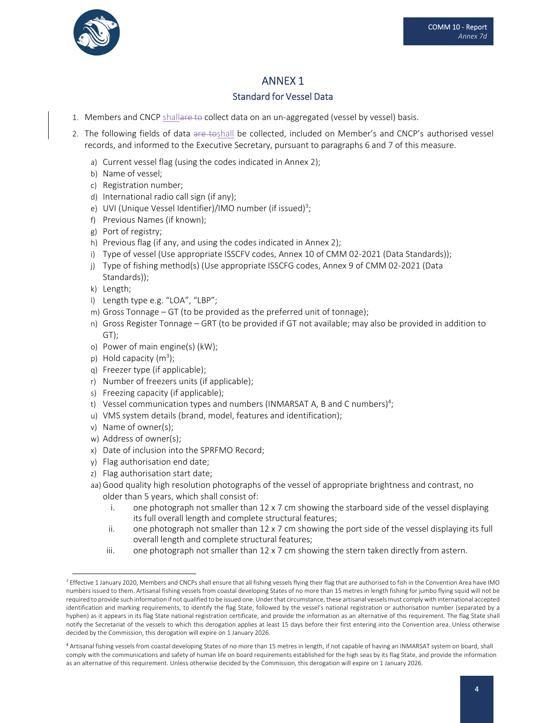

### ANNEX 1

### Standard for Vessel Data

- 1. Members and CNCP shallare to collect data on an un-aggregated (vessel by vessel) basis.
- 2. The following fields of data are toshall be collected, included on Member's and CNCP's authorised vessel records, and informed to the Executive Secretary, pursuant to paragraphs 6 and 7 of this measure.
	- a) Current vessel flag (using the codes indicated in Annex 2);
	- b) Name of vessel;
	- c) Registration number;
	- d) International radio call sign (if any);
	- e) UVI (Unique Vessel Identifier)/IMO number (if issued)<sup>3</sup>;
	- f) Previous Names (if known);
	- g) Port of registry;
	- h) Previous flag (if any, and using the codes indicated in Annex 2);
	- i) Type of vessel (Use appropriate ISSCFV codes, Annex 10 of CMM 02-2021 (Data Standards));
	- j) Type of fishing method(s) (Use appropriate ISSCFG codes, Annex 9 of CMM 02-2021 (Data Standards));
	- k) Length;
	- l) Length type e.g. "LOA", "LBP";
	- m) Gross Tonnage GT (to be provided as the preferred unit of tonnage);
	- n) Gross Register Tonnage GRT (to be provided if GT not available; may also be provided in addition to GT);
	- o) Power of main engine(s) (kW);
	- $p)$  Hold capacity (m<sup>3</sup>);
	- q) Freezer type (if applicable);
	- r) Number of freezers units (if applicable);
	- s) Freezing capacity (if applicable);
	- t) Vessel communication types and numbers (INMARSAT A, B and C numbers)<sup>4</sup>;
	- u) VMS system details (brand, model, features and identification);
	- v) Name of owner(s);
	- w) Address of owner(s);
	- x) Date of inclusion into the SPRFMO Record;
	- y) Flag authorisation end date;
	- z) Flag authorisation start date;
	- aa) Good quality high resolution photographs of the vessel of appropriate brightness and contrast, no older than 5 years, which shall consist of:
		- i. one photograph not smaller than  $12 \times 7$  cm showing the starboard side of the vessel displaying its full overall length and complete structural features;
		- ii. one photograph not smaller than  $12 \times 7$  cm showing the port side of the vessel displaying its full overall length and complete structural features;
		- iii. one photograph not smaller than  $12 \times 7$  cm showing the stern taken directly from astern.

<sup>&</sup>lt;sup>3</sup> Effective 1 January 2020, Members and CNCPs shall ensure that all fishing vessels flying their flag that are authorised to fish in the Convention Area have IMO numbers issued to them. Artisanal fishing vessels from coastal developing States of no more than 15 metres in length fishing for jumbo flying squid will not be required to provide such information if not qualified to be issued one. Under that circumstance, these artisanal vessels must comply with international accepted identification and marking requirements, to identify the flag State, followed by the vessel's national registration or authorisation number (separated by a hyphen) as it appears in its flag State national registration certificate, and provide the information as an alternative of this requirement. The flag State shall notify the Secretariat of the vessels to which this derogation applies at least 15 days before their first entering into the Convention area. Unless otherwise decided by the Commission, this derogation will expire on 1 January 2026.

<sup>4</sup> Artisanal fishing vessels from coastal developing States of no more than 15 metres in length, if not capable of having an INMARSAT system on board, shall comply with the communications and safety of human life on board requirements established for the high seas by its flag State, and provide the information as an alternative of this requirement. Unless otherwise decided by the Commission, this derogation will expire on 1 January 2026.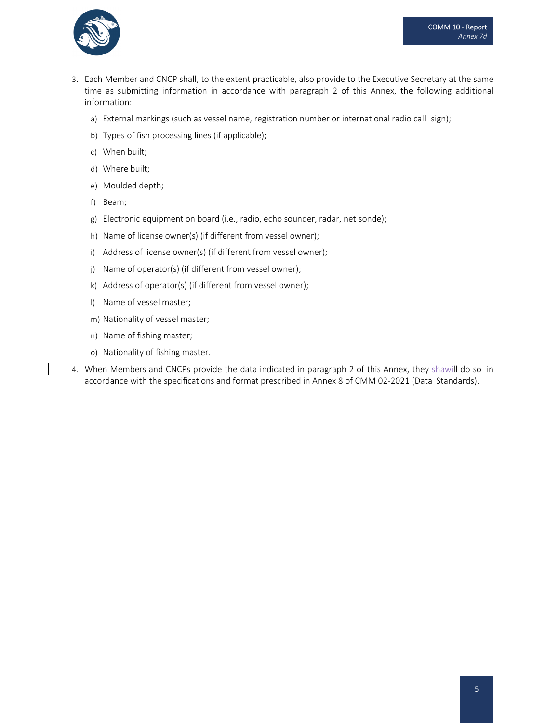

- 3. Each Member and CNCP shall, to the extent practicable, also provide to the Executive Secretary at the same time as submitting information in accordance with paragraph 2 of this Annex, the following additional information:
	- a) External markings (such as vessel name, registration number or international radio call sign);
	- b) Types of fish processing lines (if applicable);
	- c) When built;
	- d) Where built;
	- e) Moulded depth;
	- f) Beam;
	- g) Electronic equipment on board (i.e., radio, echo sounder, radar, net sonde);
	- h) Name of license owner(s) (if different from vessel owner);
	- i) Address of license owner(s) (if different from vessel owner);
	- j) Name of operator(s) (if different from vessel owner);
	- k) Address of operator(s) (if different from vessel owner);
	- l) Name of vessel master;
	- m) Nationality of vessel master;
	- n) Name of fishing master;
	- o) Nationality of fishing master.
- 4. When Members and CNCPs provide the data indicated in paragraph 2 of this Annex, they shawill do so in accordance with the specifications and format prescribed in Annex 8 of CMM 02‐2021 (Data Standards).